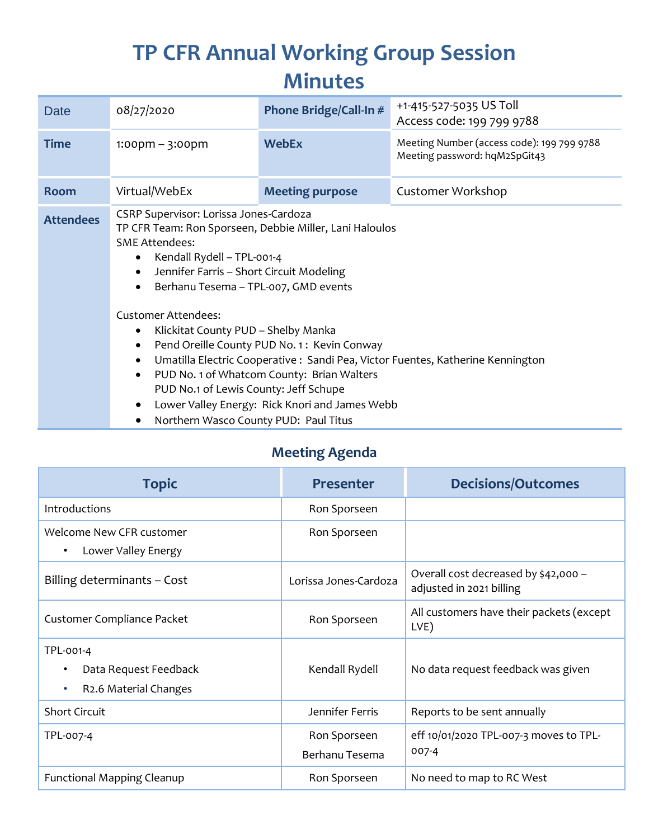# **TP CFR Annual Working Group Session Minutes**

| <b>Date</b>      | 08/27/2020                                                                                                                                                                                                                                                                                                                                                                       | Phone Bridge/Call-In # | +1-415-527-5035 US Toll<br>Access code: 199 799 9788                        |  |  |
|------------------|----------------------------------------------------------------------------------------------------------------------------------------------------------------------------------------------------------------------------------------------------------------------------------------------------------------------------------------------------------------------------------|------------------------|-----------------------------------------------------------------------------|--|--|
| <b>Time</b>      | $1:00$ pm – $3:00$ pm                                                                                                                                                                                                                                                                                                                                                            | <b>WebEx</b>           | Meeting Number (access code): 199 799 9788<br>Meeting password: hqM2SpGit43 |  |  |
| <b>Room</b>      | Virtual/WebEx                                                                                                                                                                                                                                                                                                                                                                    | <b>Meeting purpose</b> | Customer Workshop                                                           |  |  |
| <b>Attendees</b> | CSRP Supervisor: Lorissa Jones-Cardoza<br>TP CFR Team: Ron Sporseen, Debbie Miller, Lani Haloulos<br><b>SME Attendees:</b><br>Kendall Rydell - TPL-001-4<br>٠<br>Jennifer Farris - Short Circuit Modeling<br>$\bullet$<br>Berhanu Tesema - TPL-007, GMD events<br>$\bullet$                                                                                                      |                        |                                                                             |  |  |
|                  | <b>Customer Attendees:</b><br>Klickitat County PUD - Shelby Manka<br>٠<br>Pend Oreille County PUD No. 1: Kevin Conway<br>$\bullet$<br>Umatilla Electric Cooperative : Sandi Pea, Victor Fuentes, Katherine Kennington<br>٠<br>PUD No. 1 of Whatcom County: Brian Walters<br>$\bullet$<br>PUD No.1 of Lewis County: Jeff Schupe<br>Lower Valley Energy: Rick Knori and James Webb |                        |                                                                             |  |  |

Northern Wasco County PUD: Paul Titus

### **Meeting Agenda**

| <b>Topic</b>                                                                          | <b>Presenter</b>               | <b>Decisions/Outcomes</b>                                        |
|---------------------------------------------------------------------------------------|--------------------------------|------------------------------------------------------------------|
| Introductions                                                                         | Ron Sporseen                   |                                                                  |
| Welcome New CFR customer<br>Lower Valley Energy<br>٠                                  | Ron Sporseen                   |                                                                  |
| Billing determinants - Cost                                                           | Lorissa Jones-Cardoza          | Overall cost decreased by \$42,000 -<br>adjusted in 2021 billing |
| Customer Compliance Packet                                                            | Ron Sporseen                   | All customers have their packets (except<br>LVE)                 |
| TPL-001-4<br>Data Request Feedback<br>R <sub>2</sub> .6 Material Changes<br>$\bullet$ | Kendall Rydell                 | No data request feedback was given                               |
| <b>Short Circuit</b>                                                                  | Jennifer Ferris                | Reports to be sent annually                                      |
| TPL-007-4                                                                             | Ron Sporseen<br>Berhanu Tesema | eff 10/01/2020 TPL-007-3 moves to TPL-<br>$007-4$                |
| <b>Functional Mapping Cleanup</b>                                                     | Ron Sporseen                   | No need to map to RC West                                        |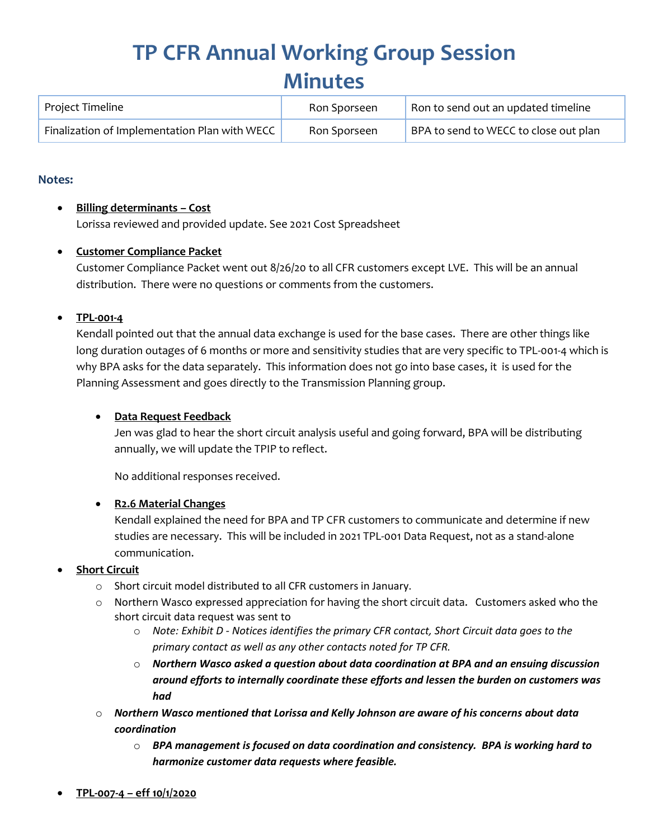### **TP CFR Annual Working Group Session Minutes**

| Project Timeline                              | Ron Sporseen | Ron to send out an updated timeline   |
|-----------------------------------------------|--------------|---------------------------------------|
| Finalization of Implementation Plan with WECC | Ron Sporseen | BPA to send to WECC to close out plan |

#### **Notes:**

#### **Billing determinants – Cost**

Lorissa reviewed and provided update. See 2021 Cost Spreadsheet

#### **Customer Compliance Packet**

Customer Compliance Packet went out 8/26/20 to all CFR customers except LVE. This will be an annual distribution. There were no questions or comments from the customers.

#### **TPL-001-4**

Kendall pointed out that the annual data exchange is used for the base cases. There are other things like long duration outages of 6 months or more and sensitivity studies that are very specific to TPL-001-4 which is why BPA asks for the data separately. This information does not go into base cases, it is used for the Planning Assessment and goes directly to the Transmission Planning group.

#### **Data Request Feedback**

Jen was glad to hear the short circuit analysis useful and going forward, BPA will be distributing annually, we will update the TPIP to reflect.

No additional responses received.

#### **R2.6 Material Changes**

Kendall explained the need for BPA and TP CFR customers to communicate and determine if new studies are necessary. This will be included in 2021 TPL-001 Data Request, not as a stand-alone communication.

#### **Short Circuit**

- o Short circuit model distributed to all CFR customers in January.
- o Northern Wasco expressed appreciation for having the short circuit data. Customers asked who the short circuit data request was sent to
	- o *Note: Exhibit D - Notices identifies the primary CFR contact, Short Circuit data goes to the primary contact as well as any other contacts noted for TP CFR.*
	- o *Northern Wasco asked a question about data coordination at BPA and an ensuing discussion around efforts to internally coordinate these efforts and lessen the burden on customers was had*
- o *Northern Wasco mentioned that Lorissa and Kelly Johnson are aware of his concerns about data coordination*
	- o *BPA management is focused on data coordination and consistency. BPA is working hard to harmonize customer data requests where feasible.*
- **TPL-007-4 – eff 10/1/2020**